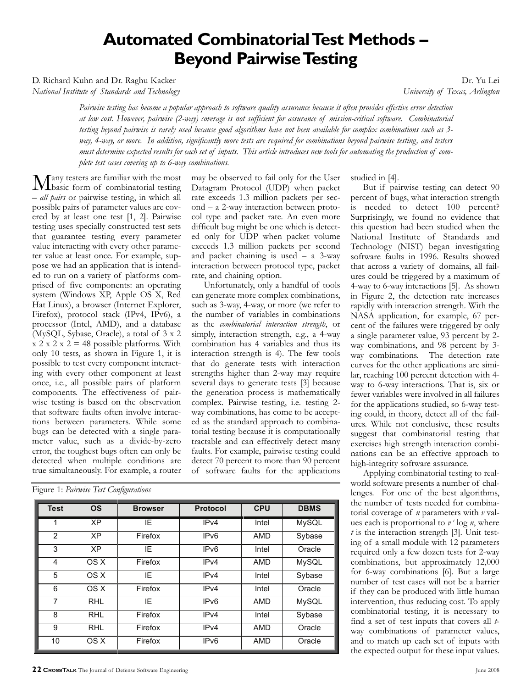# **Automated Combinatorial Test Methods – Beyond Pairwise Testing**

D. Richard Kuhn and Dr. Raghu Kacker Dr. Yu Lei

*National Institute of Standards and Technology University of Texas, Arlington* 

*Pairwise testing has become a popular approach to software quality assurance because it often provides effective error detection at low cost. However, pairwise (2-way) coverage is not sufficient for assurance of mission-critical software. Combinatorial testing beyond pairwise is rarely used because good algorithms have not been available for complex combinations such as 3 way, 4-way, or more. In addition, significantly more tests are required for combinations beyond pairwise testing , and testers must determine expected results for each set of inputs. This article introduces new tools for automating the production of complete test cases covering up to 6-way combinations.* 

**Many** testers are familiar with the most<br> *m*any testing the most combinatorial testing – *all pairs* or pairwise testing, in which all possible pairs of parameter values are covered by at least one test [1, 2]. Pairwise testing uses specially constructed test sets that guarantee testing every parameter value interacting with every other parameter value at least once. For example, suppose we had an application that is intended to run on a variety of platforms comprised of five components: an operating system (Windows XP, Apple OS X, Red Hat Linux), a browser (Internet Explorer, Firefox), protocol stack (IPv4, IPv6), a processor (Intel, AMD), and a database (MySQL, Sybase, Oracle), a total of 3 x 2  $x 2 x 2 x 2 = 48$  possible platforms. With only 10 tests, as shown in Figure 1, it is possible to test every component interacting with every other component at least once, i.e., all possible pairs of platform components. The effectiveness of pairwise testing is based on the observation that software faults often involve interactions between parameters. While some bugs can be detected with a single parameter value, such as a divide-by-zero error, the toughest bugs often can only be detected when multiple conditions are true simultaneously. For example, a router is we had an application that is intend-<br>
interaction between protocol type, p<br>
or to one a variety of platforms com-<br>
rate, and chaining option.<br>
Informately, only a handful of<br>
Em (Windows XP, Apple OS X, Red can generat

|  |  |  |  | Figure 1: Pairwise Test Configurations |
|--|--|--|--|----------------------------------------|
|--|--|--|--|----------------------------------------|

may be observed to fail only for the User Datagram Protocol (UDP) when packet rate exceeds 1.3 million packets per second – a 2-way interaction between protocol type and packet rate. An even more difficult bug might be one which is detected only for UDP when packet volume exceeds 1.3 million packets per second and packet chaining is used – a 3-way interaction between protocol type, packet rate, and chaining option.

Unfortunately, only a handful of tools can generate more complex combinations, such as 3-way, 4-way, or more (we refer to the number of variables in combinations as the *combinatorial interaction strength*, or simply, interaction strength, e.g., a 4-way combination has 4 variables and thus its interaction strength is 4). The few tools that do generate tests with interaction strengths higher than 2-way may require several days to generate tests [3] because the generation process is mathematically complex. Pairwise testing, i.e. testing 2 way combinations, has come to be accepted as the standard approach to combinatorial testing because it is computationally tractable and can effectively detect many faults. For example, pairwise testing could detect 70 percent to more than 90 percent of software faults for the applications and many of partitims com-<br>
and momentos and correlating (bifortunately, only a handful of<br>
s XP, Apple OS X, Red can generate more complex combinate<br>
of SXP, Apple OS X, Red can generate more complex combinates<br>
of SXP, A

|                | Figure 1: Pairwise Test Configurations | system (Windows XP, Apple OS X, Red<br>Hat Linux), a browser (Internet Explorer,<br>Firefox), protocol stack (IPv4, IPv6), a<br>processor (Intel, AMD), and a database<br>(MySQL, Sybase, Oracle), a total of 3 x 2<br>$x 2 x 2 x 2 = 48$ possible platforms. With<br>only 10 tests, as shown in Figure 1, it is<br>possible to test every component interact-<br>ing with every other component at least<br>once, i.e., all possible pairs of platform<br>components. The effectiveness of pair-<br>wise testing is based on the observation<br>that software faults often involve interac-<br>tions between parameters. While some<br>bugs can be detected with a single para-<br>meter value, such as a divide-by-zero<br>error, the toughest bugs often can only be<br>detected when multiple conditions are<br>true simultaneously. For example, a router |                  |            | can generate more complex combination<br>such as 3-way, 4-way, or more (we refer<br>the number of variables in combination<br>as the combinatorial interaction strength, o<br>simply, interaction strength, e.g., a 4-wa<br>combination has 4 variables and thus i<br>interaction strength is 4). The few too<br>that do generate tests with interactic<br>strengths higher than 2-way may requi<br>several days to generate tests [3] becaus<br>the generation process is mathematical<br>complex. Pairwise testing, i.e. testing<br>way combinations, has come to be accep<br>ed as the standard approach to combin<br>torial testing because it is computational<br>tractable and can effectively detect mar<br>faults. For example, pairwise testing cou<br>detect 70 percent to more than 90 percent<br>of software faults for the application |
|----------------|----------------------------------------|----------------------------------------------------------------------------------------------------------------------------------------------------------------------------------------------------------------------------------------------------------------------------------------------------------------------------------------------------------------------------------------------------------------------------------------------------------------------------------------------------------------------------------------------------------------------------------------------------------------------------------------------------------------------------------------------------------------------------------------------------------------------------------------------------------------------------------------------------------------|------------------|------------|-----------------------------------------------------------------------------------------------------------------------------------------------------------------------------------------------------------------------------------------------------------------------------------------------------------------------------------------------------------------------------------------------------------------------------------------------------------------------------------------------------------------------------------------------------------------------------------------------------------------------------------------------------------------------------------------------------------------------------------------------------------------------------------------------------------------------------------------------------|
| <b>Test</b>    | <b>OS</b>                              | <b>Browser</b>                                                                                                                                                                                                                                                                                                                                                                                                                                                                                                                                                                                                                                                                                                                                                                                                                                                 | <b>Protocol</b>  | <b>CPU</b> | <b>DBMS</b>                                                                                                                                                                                                                                                                                                                                                                                                                                                                                                                                                                                                                                                                                                                                                                                                                                         |
| 1              | $\overline{XP}$                        | IE                                                                                                                                                                                                                                                                                                                                                                                                                                                                                                                                                                                                                                                                                                                                                                                                                                                             | IP <sub>v4</sub> | Intel      | <b>MySQL</b>                                                                                                                                                                                                                                                                                                                                                                                                                                                                                                                                                                                                                                                                                                                                                                                                                                        |
| $\overline{2}$ | $\overline{XP}$                        | Firefox                                                                                                                                                                                                                                                                                                                                                                                                                                                                                                                                                                                                                                                                                                                                                                                                                                                        | IPv6             | <b>AMD</b> | Sybase                                                                                                                                                                                                                                                                                                                                                                                                                                                                                                                                                                                                                                                                                                                                                                                                                                              |
|                | <b>XP</b>                              | IE                                                                                                                                                                                                                                                                                                                                                                                                                                                                                                                                                                                                                                                                                                                                                                                                                                                             | IP <sub>v6</sub> | Intel      | Oracle                                                                                                                                                                                                                                                                                                                                                                                                                                                                                                                                                                                                                                                                                                                                                                                                                                              |
| $\overline{3}$ |                                        |                                                                                                                                                                                                                                                                                                                                                                                                                                                                                                                                                                                                                                                                                                                                                                                                                                                                |                  |            | <b>MySQL</b>                                                                                                                                                                                                                                                                                                                                                                                                                                                                                                                                                                                                                                                                                                                                                                                                                                        |
| 4              | OS X                                   | Firefox                                                                                                                                                                                                                                                                                                                                                                                                                                                                                                                                                                                                                                                                                                                                                                                                                                                        | IPv4             | <b>AMD</b> |                                                                                                                                                                                                                                                                                                                                                                                                                                                                                                                                                                                                                                                                                                                                                                                                                                                     |
| 5              | OS X                                   | $\overline{IE}$                                                                                                                                                                                                                                                                                                                                                                                                                                                                                                                                                                                                                                                                                                                                                                                                                                                | IPv4             | Intel      | Sybase                                                                                                                                                                                                                                                                                                                                                                                                                                                                                                                                                                                                                                                                                                                                                                                                                                              |
| 6              | OS X                                   | Firefox                                                                                                                                                                                                                                                                                                                                                                                                                                                                                                                                                                                                                                                                                                                                                                                                                                                        | IP <sub>v4</sub> | Intel      | Oracle                                                                                                                                                                                                                                                                                                                                                                                                                                                                                                                                                                                                                                                                                                                                                                                                                                              |
| $\overline{7}$ | <b>RHL</b>                             | IE                                                                                                                                                                                                                                                                                                                                                                                                                                                                                                                                                                                                                                                                                                                                                                                                                                                             | IP <sub>v6</sub> | <b>AMD</b> | <b>MySQL</b>                                                                                                                                                                                                                                                                                                                                                                                                                                                                                                                                                                                                                                                                                                                                                                                                                                        |
| 8              | <b>RHL</b>                             | Firefox                                                                                                                                                                                                                                                                                                                                                                                                                                                                                                                                                                                                                                                                                                                                                                                                                                                        | IPv4             | Intel      | Sybase                                                                                                                                                                                                                                                                                                                                                                                                                                                                                                                                                                                                                                                                                                                                                                                                                                              |
| $\overline{9}$ | <b>RHL</b>                             | Firefox                                                                                                                                                                                                                                                                                                                                                                                                                                                                                                                                                                                                                                                                                                                                                                                                                                                        | IPv4             | <b>AMD</b> | Oracle                                                                                                                                                                                                                                                                                                                                                                                                                                                                                                                                                                                                                                                                                                                                                                                                                                              |
| 10             | OS X                                   | Firefox                                                                                                                                                                                                                                                                                                                                                                                                                                                                                                                                                                                                                                                                                                                                                                                                                                                        | IPv6             | <b>AMD</b> | Oracle                                                                                                                                                                                                                                                                                                                                                                                                                                                                                                                                                                                                                                                                                                                                                                                                                                              |

studied in [4].

But if pairwise testing can detect 90 percent of bugs, what interaction strength is needed to detect 100 percent? Surprisingly, we found no evidence that this question had been studied when the National Institute of Standards and Technology (NIST) began investigating software faults in 1996. Results showed that across a variety of domains, all failures could be triggered by a maximum of 4-way to 6-way interactions [5]. As shown in Figure 2, the detection rate increases rapidly with interaction strength. With the NASA application, for example, 67 percent of the failures were triggered by only a single parameter value, 93 percent by 2 way combinations, and 98 percent by 3 way combinations. The detection rate curves for the other applications are similar, reaching 100 percent detection with 4 way to 6-way interactions. That is, six or fewer variables were involved in all failures for the applications studied, so 6-way testing could, in theory, detect all of the failures. While not conclusive, these results suggest that combinatorial testing that exercises high strength interaction combinations can be an effective approach to high-integrity software assurance.

Applying combinatorial testing to realworld software presents a number of challenges. For one of the best algorithms, the number of tests needed for combinatorial coverage of *n* parameters with *v* values each is proportional to  $v^{\prime}$  log *n*, where *t* is the interaction strength [3]. Unit testing of a small module with 12 parameters required only a few dozen tests for 2-way combinations, but approximately 12,000 for 6-way combinations [6]. But a large number of test cases will not be a barrier if they can be produced with little human intervention, thus reducing cost. To apply combinatorial testing, it is necessary to find a set of test inputs that covers all *t*way combinations of parameter values, and to match up each set of inputs with the expected output for these input values.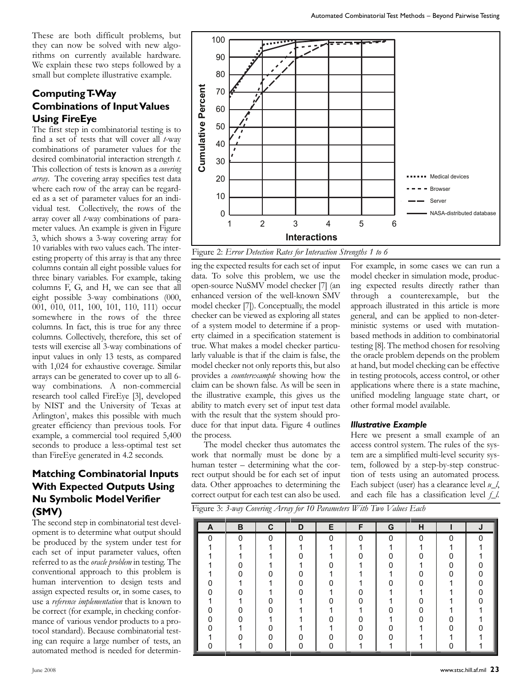These are both difficult problems, but they can now be solved with new algorithms on currently available hardware. We explain these two steps followed by a small but complete illustrative example.

# **Computing T-Way Combinations of Input Values Using FireEye**

The first step in combinatorial testing is to find a set of tests that will cover all *t*-way combinations of parameter values for the desired combinatorial interaction strength *t*. This collection of tests is known as a *covering array*. The covering array specifies test data where each row of the array can be regarded as a set of parameter values for an individual test. Collectively, the rows of the array cover all *t*-way combinations of parameter values. An example is given in Figure 3, which shows a 3-way covering array for 10 variables with two values each. The interesting property of this array is that any three columns contain all eight possible values for three binary variables. For example, taking columns F, G, and H, we can see that all eight possible 3-way combinations (000, 001, 010, 011, 100, 101, 110, 111) occur somewhere in the rows of the three columns. In fact, this is true for any three columns. Collectively, therefore, this set of tests will exercise all 3-way combinations of input values in only 13 tests, as compared with 1,024 for exhaustive coverage. Similar arrays can be generated to cover up to all 6 way combinations. A non-commercial research tool called FireEye [3], developed by NIST and the University of Texas at Arlington<sup>1</sup>, makes this possible with much greater efficiency than previous tools. For example, a commercial tool required 5,400 seconds to produce a less-optimal test set than FireEye generated in 4.2 seconds.

# **Matching Combinatorial Inputs With Expected Outputs Using Nu Symbolic Model Verifier (SMV)**

The second step in combinatorial test development is to determine what output should be produced by the system under test for each set of input parameter values, often referred to as the *oracle problem* in testing. The conventional approach to this problem is human intervention to design tests and assign expected results or, in some cases, to use a *reference implementation* that is known to be correct (for example, in checking conformance of various vendor products to a protocol standard). Because combinatorial testing can require a large number of tests, an automated method is needed for determin-



Figure 2: *Error Detection Rates for Interaction Strengths 1 to 6* 

enhanced version of the well-known SMV true. What makes a model checker particularly valuable is that if the claim is false, the 0 0 0 provides a *counterexample* showing how the claim can be shown false. As will be seen in 0 0 the illustrative example, this gives us the ability to match every set of lipet test data of a system model to determine if a property claimed in a specification statement is ability to match every set of input test data model checker not only reports this, but also 0 checker can be viewed as exploring all states ing the expected results for each set of input data. To solve this problem, we use the open-source NuSMV model checker [7] (an model checker [7]). Conceptually, the model duce for that input data. Figure 4 outlines the process. I.e. what makes a moder checker paractic paractic paractic paractic paractic paractic paractic paractic paractic paractic paractic paractic paractic defined in can be shown false. As will be seen i illustrative example, th

The model checker thus automates the work that normally must be done by a human tester - determining what the correct output should be for each set of input tion of test data. Other approaches to determining the correct output for each test can also be used.

**A B C D E F G H J** ing expected results directly rather than 0 0 0 0 0 through a counterexample, but the II<br>general, and can be applied to non-deterthe oracle problem depends on the problem at hand, but model checking can be effective applications where there is a state machine, uppheadons where there is a state material,<br>unified modeling language state chart, or anned modeling language 0 0 0 ministic systems or used with mutationtesting [8]. The method chosen for resolving in testing protocols, access control, or other based methods in addition to combinatorial For example, in some cases we can run a model checker in simulation mode, producapproach illustrated in this article is more

## *Illustrative Example*

Here we present a small example of an access control system. The rules of the system are a simplified multi-level security system, followed by a step-by-step construction of tests using an automated process. Each subject (user) has a clearance level *u\_l*, and each file has a classification level *f\_l*.

Figure 3: *3-way Covering Array for 10 Parameters With Two Values Each* 

| A        | в        | C        | D        | Е            | F        | G        | н |          | J        |
|----------|----------|----------|----------|--------------|----------|----------|---|----------|----------|
| $\Omega$ | $\Omega$ | $\Omega$ | $\Omega$ | $\mathbf{0}$ | $\Omega$ | $\Omega$ | O | $\Omega$ | $\Omega$ |
|          | 4        |          |          |              | 1        | 1        |   |          |          |
|          |          |          |          |              | ∩        | n        |   |          |          |
|          |          |          |          |              | 1        | U        |   |          |          |
|          | n        |          |          |              |          |          |   |          | n        |
|          |          |          |          |              |          | n        |   |          |          |
|          |          |          |          |              |          |          |   |          |          |
|          |          |          |          |              | n        |          |   |          |          |
|          |          |          |          |              | ◢        | n        |   |          |          |
|          | ŋ        |          |          |              |          |          |   |          |          |
|          |          |          |          |              |          | n        |   |          |          |
|          |          |          |          |              |          | n        |   |          |          |
|          |          |          |          |              |          |          |   |          |          |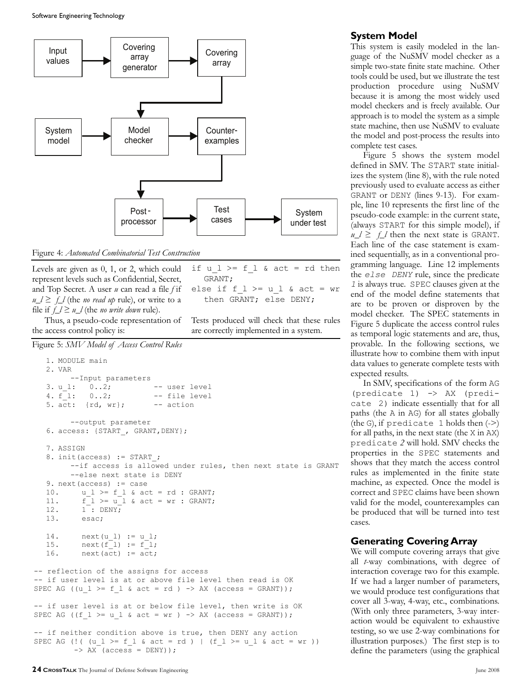Software Engineering Technology



Figure 4: *Automated Combinatorial Test Construction* ined sequentially, as in a conventional pro-

Levels are given as 0, 1, or 2, which could represent levels such as Confidential, Secret, and Top Secret. A user *u* can read a file *f* if  $u_l \geq f_l$  (the *no read up* rule), or write to a file if  $f_l \geq u_l$  (the *no write down* rule).

Thus, a pseudo-code representation of the access control policy is:

```
else if f > = u l & act = wr
  then GRANT; else DENY;
```
if  $u_l$  >= f  $l$  & act = rd then

GRANT;

Tests produced will check that these rules are correctly implemented in a system.

```
Figure 5: SMV Model of Access Control Rules
```

```
1. MODULE main 
   2. VAR
         --Input parameters
   3. u 1: 0..2; -- user level
   4. f 1: 0..2; -- file level
   5. act: \{rd, wr\}; -- action
         --output parameter
   6. access: {START , GRANT, DENY};
   7. ASSIGN 
   8. init(access) := START ;
        --if access is allowed under rules, then next state is GRANT
         --else next state is DENY
   9. next(access) := case
   10. u_l >= f_l & act = rd : GRANT;
   11. f_l \geq u_l \& \text{act} = wr : \text{GRANT};12. 1^{-}: DENY;
   13. esac;
   14. next(u_l) := u_l;15. next(f^{-1}) := f^{-1};16. next (\overline{act}) := \overline{act};
-- reflection of the assigns for access
-- if user level is at or above file level then read is OK
SPEC AG ((u l >= f l & act = rd ) -> AX (access = GRANT));
-- if user level is at or below file level, then write is OK
SPEC AG ((f_l \geq u_l \land act = wr ) \Rightarrow AX (access = GRANT));
-- if neither condition above is true, then DENY any action
SPEC AG (!( (u l >= f l & act = rd ) | (f l >= u l & act = wr ))
          \rightarrow AX (access = DENY));
                                             al (a )」<br>(a )」<br>...
                                             w r
                                             w r
                                             w r
                                             ela<br>(a da de 1<br>1 da de 1 -
```
## **System Model**

This system is easily modeled in the language of the NuSMV model checker as a simple two-state finite state machine. Other tools could be used, but we illustrate the test production procedure using NuSMV because it is among the most widely used model checkers and is freely available. Our approach is to model the system as a simple state machine, then use NuSMV to evaluate the model and post-process the results into complete test cases.

Figure 5 shows the system model defined in SMV. The START state initializes the system (line 8), with the rule noted previously used to evaluate access as either GRANT or DENY (lines 9-13). For example, line 10 represents the first line of the pseudo-code example: in the current state, (always START for this simple model), if  $u_l \geq f_l$  then the next state is GRANT. Each line of the case statement is examgramming language. Line 12 implements the *else DENY* rule, since the predicate *1* is always true. SPEC clauses given at the end of the model define statements that are to be proven or disproven by the model checker. The SPEC statements in Figure 5 duplicate the access control rules as temporal logic statements and are, thus, provable. In the following sections, we illustrate how to combine them with input data values to generate complete tests with expected results.

In SMV, specifications of the form AG (predicate 1) -> AX (predicate 2) indicate essentially that for all paths (the A in AG) for all states globally (the G), if predicate 1 holds then  $(-)$ for all paths, in the next state (the X in AX) predicate *2* will hold. SMV checks the properties in the SPEC statements and shows that they match the access control rules as implemented in the finite state machine, as expected. Once the model is correct and SPEC claims have been shown valid for the model, counterexamples can be produced that will be turned into test cases.

## **Generating Covering Array**

We will compute covering arrays that give all *t*-way combinations, with degree of interaction coverage two for this example. If we had a larger number of parameters, we would produce test configurations that cover all 3-way, 4-way, etc., combinations. (With only three parameters, 3-way interaction would be equivalent to exhaustive testing, so we use 2-way combinations for illustration purposes.) The first step is to define the parameters (using the graphical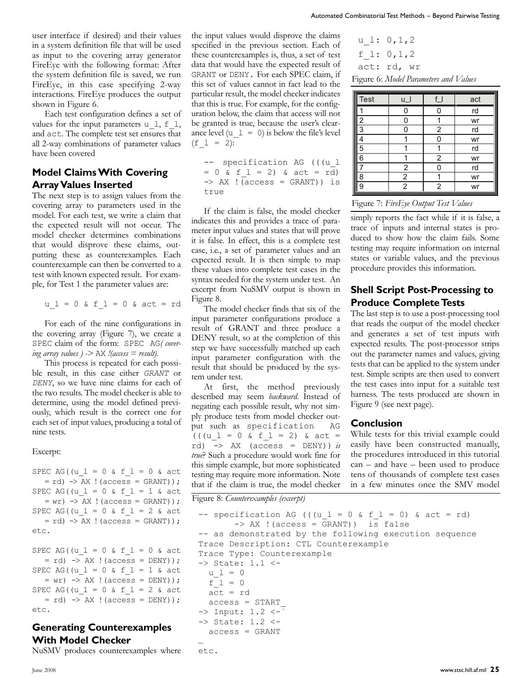user interface if desired) and their values in a system definition file that will be used as input to the covering array generator FireEye with the following format: After the system definition file is saved, we run FireEye, in this case specifying 2-way interactions. FireEye produces the output shown in Figure 6.

Each test configuration defines a set of values for the input parameters u\_1, f\_1, and act. The complete test set ensures that all 2-way combinations of parameter values have been covered

## **Model Claims With Covering Array Values Inserted**

The next step is to assign values from the covering array to parameters used in the model. For each test, we write a claim that the expected result will not occur. The model checker determines combinations that would disprove these claims, outputting these as counterexamples. Each counterexample can then be converted to a test with known expected result. For example, for Test 1 the parameter values are:

$$
u_l = 0
$$
 & f\_l = 0 & act = rd

For each of the nine configurations in the covering array (Figure 7), we create a SPEC claim of the form: SPEC AG*( covering array values ) ->* AX *!(access = result)*.

This process is repeated for each possible result, in this case either *GRANT* or *DENY*, so we have nine claims for each of the two results. The model checker is able to determine, using the model defined previously, which result is the correct one for each set of input values, producing a total of nine tests.

#### Excerpt:

SPEC AG((u  $l = 0$  & f  $l = 0$  & act  $=$  rd)  $\rightarrow$  AX ! (access = GRANT)); SPEC AG((u  $1 = 0$  & f  $1 = 1$  & act  $= w r$ )  $\rightarrow$  AX ! (access = GRANT)); SPEC AG((u  $l = 0$  & f  $l = 2$  & act  $=$  rd)  $\rightarrow$  AX ! (access = GRANT)); etc.

SPEC AG((u  $l = 0$  & f  $l = 0$  & act  $=$  rd)  $\rightarrow$  AX ! (access = DENY)); SPEC AG((u  $l = 0$  & f  $l = 1$  & act  $= \text{wr}$   $\rightarrow$  AX ! (access = DENY)); SPEC AG((u  $l = 0$  & f  $l = 2$  & act  $=$  rd)  $\rightarrow$  AX ! (access = DENY)); etc.

## **Generating Counterexamples With Model Checker**

NuSMV produces counterexamples where

the input values would disprove the claims specified in the previous section. Each of these counterexamples is, thus, a set of test data that would have the expected result of GRANT or DENY. For each SPEC claim, if this set of values cannot in fact lead to the particular result, the model checker indicates that this is true. For example, for the configuration below, the claim that access will not be granted is true, because the user's clearance level  $(u_l = 0)$  is below the file's level  $(f \ 1 = 2):$ 

-- specification AG (((u l -- specification AG (( $(u_l$  = 0 & f  $_l$  = 2) & act = rd)  $\Rightarrow$  AX ! (access = GRANT)) is true

If the claim is false, the model checker indicates this and provides a trace of parameter input values and states that will prove it is false. In effect, this is a complete test case, i.e., a set of parameter values and an expected result. It is then simple to map these values into complete test cases in the syntax needed for the system under test. An excerpt from NuSMV output is shown in Figure 8.

The model checker finds that six of the input parameter configurations produce a result of GRANT and three produce a DENY result, so at the completion of this step we have successfully matched up each input parameter configuration with the result that should be produced by the system under test.

At first, the method previously described may seem *backward*. Instead of negating each possible result, why not simply produce tests from model checker output such as specification AG  $((u_l = 0 \& f_l = 2) \& act =$ rd) -> AX (access = DENY)) *is true*? Such a procedure would work fine for this simple example, but more sophisticated testing may require more information. Note that if the claim is true, the model checker

```
u 1: 0,1,2
 f 1: 0, 1, 2act: rd, wr
Figure 6: Model Parameters and Values
```

|                                       |                         |                | ombinatorial Test Methods – Beyond Pairwise Testin; |  |  |  |  |
|---------------------------------------|-------------------------|----------------|-----------------------------------------------------|--|--|--|--|
| $u \; 1: 0, 1, 2$                     |                         |                |                                                     |  |  |  |  |
| f 1: 0, 1, 2                          |                         |                |                                                     |  |  |  |  |
| act: rd, wr                           |                         |                |                                                     |  |  |  |  |
| Figure 6: Model Parameters and Values |                         |                |                                                     |  |  |  |  |
|                                       |                         |                |                                                     |  |  |  |  |
| <b>Test</b>                           | u_l                     | $f_l$          | act                                                 |  |  |  |  |
|                                       | 0                       | 0              | rd                                                  |  |  |  |  |
| $\overline{2}$                        | 0                       | 1              | wr                                                  |  |  |  |  |
| $\overline{3}$                        | 0                       | $\overline{2}$ | rd                                                  |  |  |  |  |
| $\overline{4}$                        | 1                       | 0              | wr                                                  |  |  |  |  |
| 5                                     | 1                       | 1              | rd                                                  |  |  |  |  |
| 6                                     | 1                       | 2              | wr                                                  |  |  |  |  |
| $\overline{7}$                        | $\overline{\mathbf{c}}$ | 0              | rd                                                  |  |  |  |  |
| 8                                     | $\frac{2}{2}$           | 1              | wr                                                  |  |  |  |  |
| 9                                     |                         | $\overline{2}$ | wr                                                  |  |  |  |  |
|                                       |                         |                |                                                     |  |  |  |  |

#### Figure 7: *FireEye Output Test Values*

simply reports the fact while if it is false, a trace of inputs and internal states is produced to show how the claim fails. Some testing may require information on internal states or variable values, and the previous procedure provides this information.

## **Shell Script Post-Processing to Produce Complete Tests**

The last step is to use a post-processing tool that reads the output of the model checker and generates a set of test inputs with expected results. The post-processor strips out the parameter names and values, giving tests that can be applied to the system under test. Simple scripts are then used to convert the test cases into input for a suitable test harness. The tests produced are shown in Figure 9 (see next page).

#### **Conclusion**

While tests for this trivial example could easily have been constructed manually, the procedures introduced in this tutorial can – and have – been used to produce tens of thousands of complete test cases in a few minutes once the SMV model

Figure 8: *Counterexamples* (excerpt)

```
-- specification AG (((u l = 0 & f l = 0) & act = rd)
        -> AX !(access = GRANT)) is false 
-- as demonstrated by the following execution sequence 
Trace Description: CTL Counterexample 
Trace Type: Counterexample 
-> State: 1.1 <- 
  u_1 = 0f_1 = 0 act = rd
   access = START_ 
\Rightarrow Input: 1.2 \leftarrow-> State: 1.2 <- 
  access = GRANT
… 
etc.
```